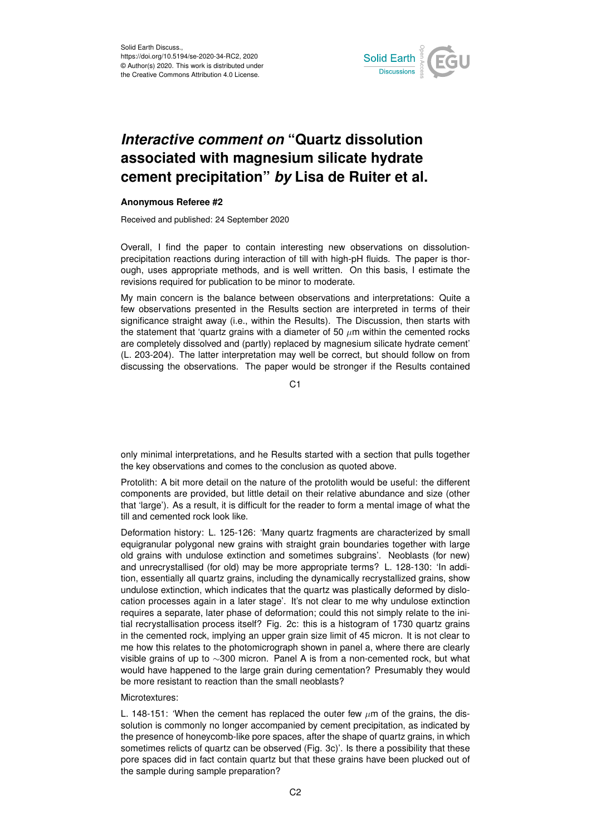

## *Interactive comment on* **"Quartz dissolution associated with magnesium silicate hydrate cement precipitation"** *by* **Lisa de Ruiter et al.**

## **Anonymous Referee #2**

Received and published: 24 September 2020

Overall, I find the paper to contain interesting new observations on dissolutionprecipitation reactions during interaction of till with high-pH fluids. The paper is thorough, uses appropriate methods, and is well written. On this basis, I estimate the revisions required for publication to be minor to moderate.

My main concern is the balance between observations and interpretations: Quite a few observations presented in the Results section are interpreted in terms of their significance straight away (i.e., within the Results). The Discussion, then starts with the statement that 'quartz grains with a diameter of 50  $\mu$ m within the cemented rocks are completely dissolved and (partly) replaced by magnesium silicate hydrate cement' (L. 203-204). The latter interpretation may well be correct, but should follow on from discussing the observations. The paper would be stronger if the Results contained

C1

only minimal interpretations, and he Results started with a section that pulls together the key observations and comes to the conclusion as quoted above.

Protolith: A bit more detail on the nature of the protolith would be useful: the different components are provided, but little detail on their relative abundance and size (other that 'large'). As a result, it is difficult for the reader to form a mental image of what the till and cemented rock look like.

Deformation history: L. 125-126: 'Many quartz fragments are characterized by small equigranular polygonal new grains with straight grain boundaries together with large old grains with undulose extinction and sometimes subgrains'. Neoblasts (for new) and unrecrystallised (for old) may be more appropriate terms? L. 128-130: 'In addition, essentially all quartz grains, including the dynamically recrystallized grains, show undulose extinction, which indicates that the quartz was plastically deformed by dislocation processes again in a later stage'. It's not clear to me why undulose extinction requires a separate, later phase of deformation; could this not simply relate to the initial recrystallisation process itself? Fig. 2c: this is a histogram of 1730 quartz grains in the cemented rock, implying an upper grain size limit of 45 micron. It is not clear to me how this relates to the photomicrograph shown in panel a, where there are clearly visible grains of up to ∼300 micron. Panel A is from a non-cemented rock, but what would have happened to the large grain during cementation? Presumably they would be more resistant to reaction than the small neoblasts?

## Microtextures:

L. 148-151: 'When the cement has replaced the outer few  $\mu$ m of the grains, the dissolution is commonly no longer accompanied by cement precipitation, as indicated by the presence of honeycomb-like pore spaces, after the shape of quartz grains, in which sometimes relicts of quartz can be observed (Fig. 3c)'. Is there a possibility that these pore spaces did in fact contain quartz but that these grains have been plucked out of the sample during sample preparation?